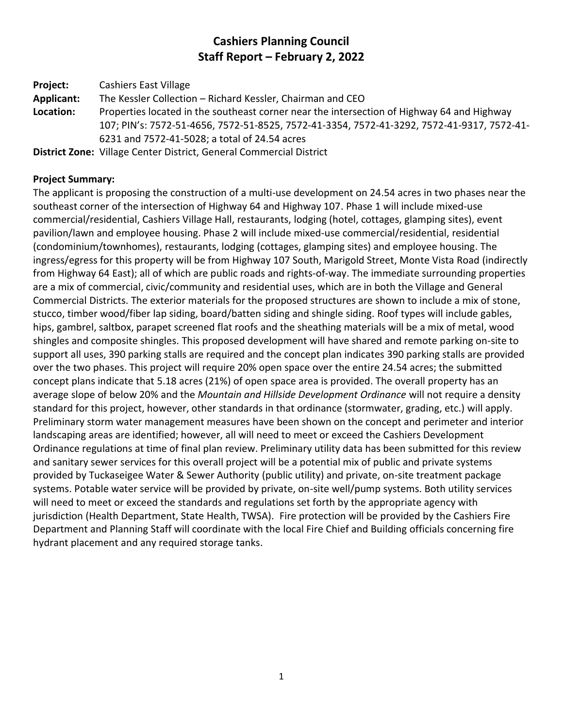# **Cashiers Planning Council Staff Report – February 2, 2022**

**Project:** Cashiers East Village **Applicant:** The Kessler Collection – Richard Kessler, Chairman and CEO

**Location:** Properties located in the southeast corner near the intersection of Highway 64 and Highway 107; PIN's: 7572-51-4656, 7572-51-8525, 7572-41-3354, 7572-41-3292, 7572-41-9317, 7572-41- 6231 and 7572-41-5028; a total of 24.54 acres

**District Zone:** Village Center District, General Commercial District

## **Project Summary:**

The applicant is proposing the construction of a multi-use development on 24.54 acres in two phases near the southeast corner of the intersection of Highway 64 and Highway 107. Phase 1 will include mixed-use commercial/residential, Cashiers Village Hall, restaurants, lodging (hotel, cottages, glamping sites), event pavilion/lawn and employee housing. Phase 2 will include mixed-use commercial/residential, residential (condominium/townhomes), restaurants, lodging (cottages, glamping sites) and employee housing. The ingress/egress for this property will be from Highway 107 South, Marigold Street, Monte Vista Road (indirectly from Highway 64 East); all of which are public roads and rights-of-way. The immediate surrounding properties are a mix of commercial, civic/community and residential uses, which are in both the Village and General Commercial Districts. The exterior materials for the proposed structures are shown to include a mix of stone, stucco, timber wood/fiber lap siding, board/batten siding and shingle siding. Roof types will include gables, hips, gambrel, saltbox, parapet screened flat roofs and the sheathing materials will be a mix of metal, wood shingles and composite shingles. This proposed development will have shared and remote parking on-site to support all uses, 390 parking stalls are required and the concept plan indicates 390 parking stalls are provided over the two phases. This project will require 20% open space over the entire 24.54 acres; the submitted concept plans indicate that 5.18 acres (21%) of open space area is provided. The overall property has an average slope of below 20% and the *Mountain and Hillside Development Ordinance* will not require a density standard for this project, however, other standards in that ordinance (stormwater, grading, etc.) will apply. Preliminary storm water management measures have been shown on the concept and perimeter and interior landscaping areas are identified; however, all will need to meet or exceed the Cashiers Development Ordinance regulations at time of final plan review. Preliminary utility data has been submitted for this review and sanitary sewer services for this overall project will be a potential mix of public and private systems provided by Tuckaseigee Water & Sewer Authority (public utility) and private, on-site treatment package systems. Potable water service will be provided by private, on-site well/pump systems. Both utility services will need to meet or exceed the standards and regulations set forth by the appropriate agency with jurisdiction (Health Department, State Health, TWSA). Fire protection will be provided by the Cashiers Fire Department and Planning Staff will coordinate with the local Fire Chief and Building officials concerning fire hydrant placement and any required storage tanks.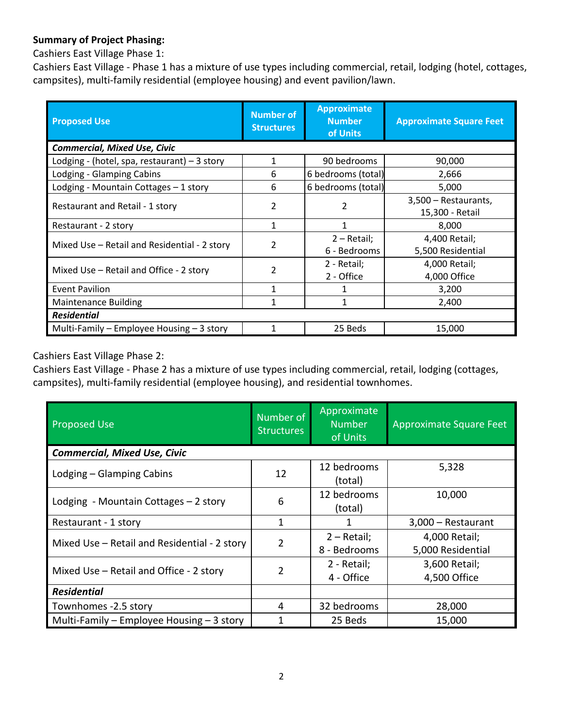## **Summary of Project Phasing:**

Cashiers East Village Phase 1:

Cashiers East Village - Phase 1 has a mixture of use types including commercial, retail, lodging (hotel, cottages, campsites), multi-family residential (employee housing) and event pavilion/lawn.

| <b>Proposed Use</b>                                                      | <b>Number of</b><br><b>Structures</b> | <b>Approximate</b><br><b>Number</b><br>of Units | <b>Approximate Square Feet</b> |
|--------------------------------------------------------------------------|---------------------------------------|-------------------------------------------------|--------------------------------|
| <b>Commercial, Mixed Use, Civic</b>                                      |                                       |                                                 |                                |
| Lodging - (hotel, spa, restaurant) $-3$ story                            | $\mathbf{1}$                          | 90 bedrooms                                     | 90,000                         |
| Lodging - Glamping Cabins                                                | 6                                     | 6 bedrooms (total)                              | 2,666                          |
| Lodging - Mountain Cottages - 1 story                                    | 6                                     | 6 bedrooms (total)                              | 5,000                          |
| Restaurant and Retail - 1 story                                          | 2                                     | 2                                               | 3,500 - Restaurants,           |
|                                                                          |                                       |                                                 | 15,300 - Retail                |
| Restaurant - 2 story                                                     | 1                                     |                                                 | 8,000                          |
| $\overline{\phantom{a}}$<br>Mixed Use – Retail and Residential - 2 story |                                       | 2 - Retail;                                     | 4,400 Retail;                  |
|                                                                          | 6 - Bedrooms                          | 5,500 Residential                               |                                |
| 2<br>Mixed Use – Retail and Office - 2 story                             |                                       | 2 - Retail;                                     | 4,000 Retail;                  |
|                                                                          |                                       | 2 - Office                                      | 4,000 Office                   |
| <b>Event Pavilion</b>                                                    | 1                                     |                                                 | 3,200                          |
| <b>Maintenance Building</b>                                              | 1                                     | 1                                               | 2,400                          |
| <b>Residential</b>                                                       |                                       |                                                 |                                |
| Multi-Family - Employee Housing - 3 story                                |                                       | 25 Beds                                         | 15,000                         |

Cashiers East Village Phase 2:

Cashiers East Village - Phase 2 has a mixture of use types including commercial, retail, lodging (cottages, campsites), multi-family residential (employee housing), and residential townhomes.

| <b>Proposed Use</b>                          | Number of<br><b>Structures</b> | Approximate<br><b>Number</b><br>of Units | Approximate Square Feet |  |  |
|----------------------------------------------|--------------------------------|------------------------------------------|-------------------------|--|--|
| <b>Commercial, Mixed Use, Civic</b>          |                                |                                          |                         |  |  |
| Lodging - Glamping Cabins                    | 12                             | 12 bedrooms                              | 5,328                   |  |  |
|                                              |                                | (total)                                  |                         |  |  |
| Lodging - Mountain Cottages - 2 story        | 6                              | 12 bedrooms                              | 10,000                  |  |  |
|                                              |                                | (total)                                  |                         |  |  |
| Restaurant - 1 story                         | 1                              | 1                                        | 3,000 - Restaurant      |  |  |
| Mixed Use - Retail and Residential - 2 story | 2                              | $2 - Retail;$                            | 4,000 Retail;           |  |  |
|                                              |                                | 8 - Bedrooms                             | 5,000 Residential       |  |  |
| Mixed Use - Retail and Office - 2 story      | 2                              | 2 - Retail;                              | 3,600 Retail;           |  |  |
|                                              |                                | 4 - Office                               | 4,500 Office            |  |  |
| <b>Residential</b>                           |                                |                                          |                         |  |  |
| Townhomes -2.5 story                         | 4                              | 32 bedrooms                              | 28,000                  |  |  |
| Multi-Family – Employee Housing – 3 story    |                                | 25 Beds                                  | 15,000                  |  |  |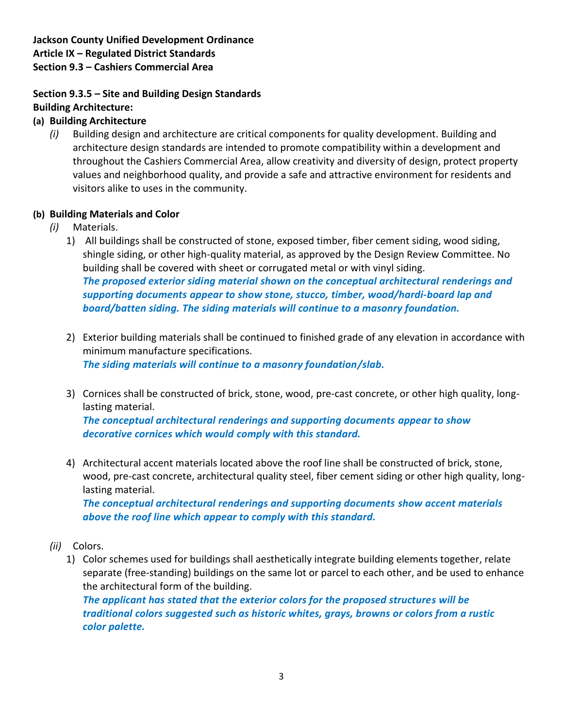## **Jackson County Unified Development Ordinance Article IX – Regulated District Standards Section 9.3 – Cashiers Commercial Area**

### **Section 9.3.5 – Site and Building Design Standards Building Architecture:**

- **(a) Building Architecture**
	- *(i)* Building design and architecture are critical components for quality development. Building and architecture design standards are intended to promote compatibility within a development and throughout the Cashiers Commercial Area, allow creativity and diversity of design, protect property values and neighborhood quality, and provide a safe and attractive environment for residents and visitors alike to uses in the community.

## **(b) Building Materials and Color**

- *(i)* Materials.
	- 1) All buildings shall be constructed of stone, exposed timber, fiber cement siding, wood siding, shingle siding, or other high-quality material, as approved by the Design Review Committee. No building shall be covered with sheet or corrugated metal or with vinyl siding. *The proposed exterior siding material shown on the conceptual architectural renderings and supporting documents appear to show stone, stucco, timber, wood/hardi-board lap and board/batten siding. The siding materials will continue to a masonry foundation.*
	- 2) Exterior building materials shall be continued to finished grade of any elevation in accordance with minimum manufacture specifications. *The siding materials will continue to a masonry foundation/slab.*
	- 3) Cornices shall be constructed of brick, stone, wood, pre-cast concrete, or other high quality, longlasting material. *The conceptual architectural renderings and supporting documents appear to show decorative cornices which would comply with this standard.*
	- 4) Architectural accent materials located above the roof line shall be constructed of brick, stone, wood, pre-cast concrete, architectural quality steel, fiber cement siding or other high quality, longlasting material.

*The conceptual architectural renderings and supporting documents show accent materials above the roof line which appear to comply with this standard.* 

- *(ii)* Colors.
	- 1) Color schemes used for buildings shall aesthetically integrate building elements together, relate separate (free-standing) buildings on the same lot or parcel to each other, and be used to enhance the architectural form of the building.

*The applicant has stated that the exterior colors for the proposed structures will be traditional colors suggested such as historic whites, grays, browns or colors from a rustic color palette.*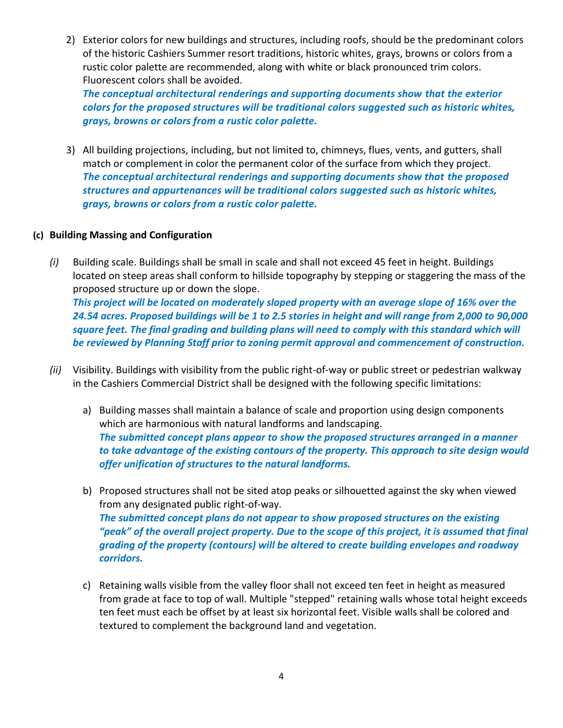2) Exterior colors for new buildings and structures, including roofs, should be the predominant colors of the historic Cashiers Summer resort traditions, historic whites, grays, browns or colors from a rustic color palette are recommended, along with white or black pronounced trim colors. Fluorescent colors shall be avoided.

*The conceptual architectural renderings and supporting documents show that the exterior colors for the proposed structures will be traditional colors suggested such as historic whites, grays, browns or colors from a rustic color palette.* 

3) All building projections, including, but not limited to, chimneys, flues, vents, and gutters, shall match or complement in color the permanent color of the surface from which they project. *The conceptual architectural renderings and supporting documents show that the proposed structures and appurtenances will be traditional colors suggested such as historic whites, grays, browns or colors from a rustic color palette.* 

#### **(c) Building Massing and Configuration**

*(i)* Building scale. Buildings shall be small in scale and shall not exceed 45 feet in height. Buildings located on steep areas shall conform to hillside topography by stepping or staggering the mass of the proposed structure up or down the slope.

*This project will be located on moderately sloped property with an average slope of 16% over the 24.54 acres. Proposed buildings will be 1 to 2.5 stories in height and will range from 2,000 to 90,000 square feet. The final grading and building plans will need to comply with this standard which will be reviewed by Planning Staff prior to zoning permit approval and commencement of construction.* 

- *(ii)* Visibility. Buildings with visibility from the public right-of-way or public street or pedestrian walkway in the Cashiers Commercial District shall be designed with the following specific limitations:
	- a) Building masses shall maintain a balance of scale and proportion using design components which are harmonious with natural landforms and landscaping. *The submitted concept plans appear to show the proposed structures arranged in a manner to take advantage of the existing contours of the property. This approach to site design would offer unification of structures to the natural landforms.*
	- b) Proposed structures shall not be sited atop peaks or silhouetted against the sky when viewed from any designated public right-of-way. *The submitted concept plans do not appear to show proposed structures on the existing*  "peak" of the overall project property. Due to the scope of this project, it is assumed that final *grading of the property (contours) will be altered to create building envelopes and roadway corridors.*
	- c) Retaining walls visible from the valley floor shall not exceed ten feet in height as measured from grade at face to top of wall. Multiple "stepped" retaining walls whose total height exceeds ten feet must each be offset by at least six horizontal feet. Visible walls shall be colored and textured to complement the background land and vegetation.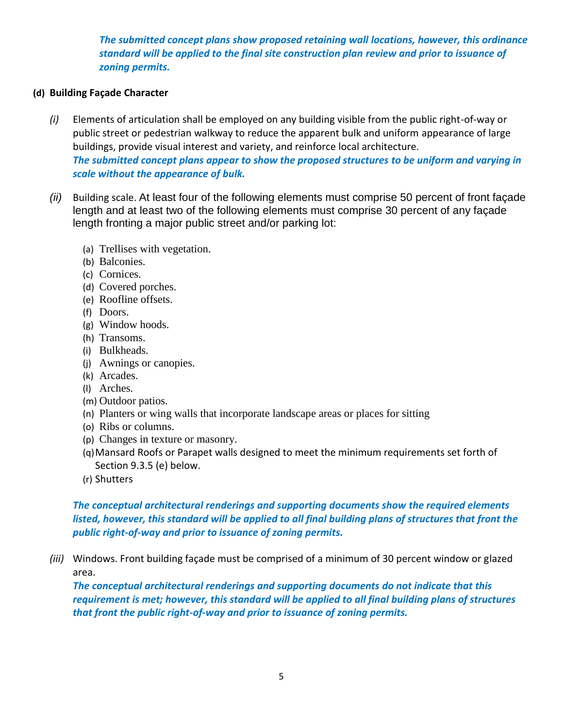*The submitted concept plans show proposed retaining wall locations, however, this ordinance standard will be applied to the final site construction plan review and prior to issuance of zoning permits.*

#### **(d) Building Façade Character**

- *(i)* Elements of articulation shall be employed on any building visible from the public right-of-way or public street or pedestrian walkway to reduce the apparent bulk and uniform appearance of large buildings, provide visual interest and variety, and reinforce local architecture. *The submitted concept plans appear to show the proposed structures to be uniform and varying in scale without the appearance of bulk.*
- *(ii)* Building scale. At least four of the following elements must comprise 50 percent of front façade length and at least two of the following elements must comprise 30 percent of any façade length fronting a major public street and/or parking lot:
	- (a) Trellises with vegetation.
	- (b) Balconies.
	- (c) Cornices.
	- (d) Covered porches.
	- (e) Roofline offsets.
	- (f) Doors.
	- (g) Window hoods.
	- (h) Transoms.
	- (i) Bulkheads.
	- (j) Awnings or canopies.
	- (k) Arcades.
	- (l) Arches.
	- (m) Outdoor patios.
	- (n) Planters or wing walls that incorporate landscape areas or places for sitting
	- (o) Ribs or columns.
	- (p) Changes in texture or masonry.
	- (q)Mansard Roofs or Parapet walls designed to meet the minimum requirements set forth of Section 9.3.5 (e) below.
	- (r) Shutters

## *The conceptual architectural renderings and supporting documents show the required elements listed, however, this standard will be applied to all final building plans of structures that front the public right-of-way and prior to issuance of zoning permits.*

*(iii)* Windows. Front building façade must be comprised of a minimum of 30 percent window or glazed area.

*The conceptual architectural renderings and supporting documents do not indicate that this requirement is met; however, this standard will be applied to all final building plans of structures that front the public right-of-way and prior to issuance of zoning permits.*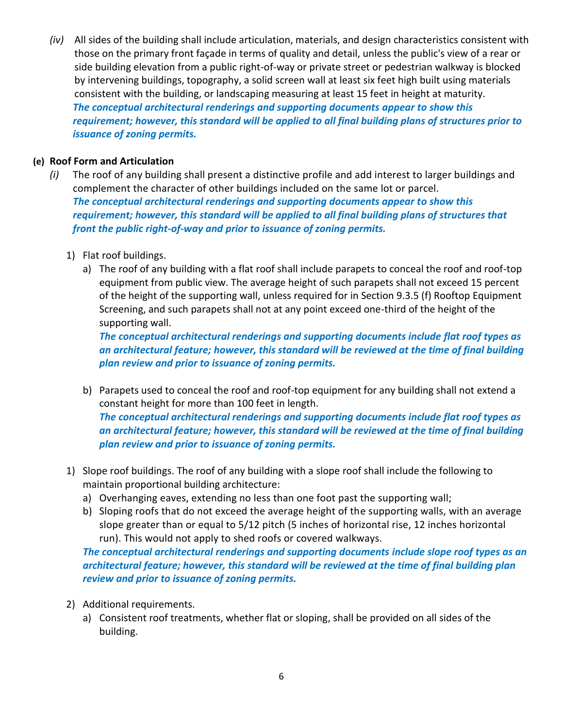*(iv)* All sides of the building shall include articulation, materials, and design characteristics consistent with those on the primary front façade in terms of quality and detail, unless the public's view of a rear or side building elevation from a public right-of-way or private street or pedestrian walkway is blocked by intervening buildings, topography, a solid screen wall at least six feet high built using materials consistent with the building, or landscaping measuring at least 15 feet in height at maturity. *The conceptual architectural renderings and supporting documents appear to show this requirement; however, this standard will be applied to all final building plans of structures prior to issuance of zoning permits.*

### **(e) Roof Form and Articulation**

- *(i)* The roof of any building shall present a distinctive profile and add interest to larger buildings and complement the character of other buildings included on the same lot or parcel. *The conceptual architectural renderings and supporting documents appear to show this requirement; however, this standard will be applied to all final building plans of structures that front the public right-of-way and prior to issuance of zoning permits.* 
	- 1) Flat roof buildings.
		- a) The roof of any building with a flat roof shall include parapets to conceal the roof and roof-top equipment from public view. The average height of such parapets shall not exceed 15 percent of the height of the supporting wall, unless required for in Section 9.3.5 (f) Rooftop Equipment Screening, and such parapets shall not at any point exceed one-third of the height of the supporting wall.

*The conceptual architectural renderings and supporting documents include flat roof types as an architectural feature; however, this standard will be reviewed at the time of final building plan review and prior to issuance of zoning permits.* 

- b) Parapets used to conceal the roof and roof-top equipment for any building shall not extend a constant height for more than 100 feet in length. *The conceptual architectural renderings and supporting documents include flat roof types as an architectural feature; however, this standard will be reviewed at the time of final building plan review and prior to issuance of zoning permits.*
- 1) Slope roof buildings. The roof of any building with a slope roof shall include the following to maintain proportional building architecture:
	- a) Overhanging eaves, extending no less than one foot past the supporting wall;
	- b) Sloping roofs that do not exceed the average height of the supporting walls, with an average slope greater than or equal to 5/12 pitch (5 inches of horizontal rise, 12 inches horizontal run). This would not apply to shed roofs or covered walkways.

*The conceptual architectural renderings and supporting documents include slope roof types as an architectural feature; however, this standard will be reviewed at the time of final building plan review and prior to issuance of zoning permits.*

- 2) Additional requirements.
	- a) Consistent roof treatments, whether flat or sloping, shall be provided on all sides of the building.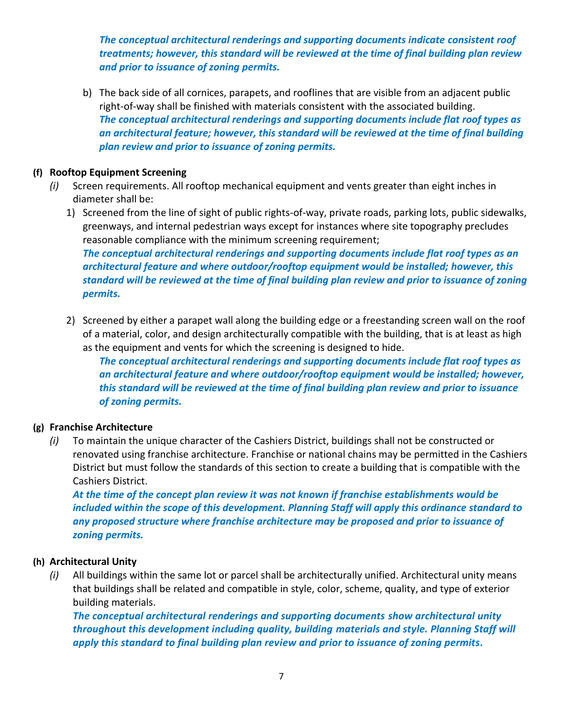*The conceptual architectural renderings and supporting documents indicate consistent roof treatments; however, this standard will be reviewed at the time of final building plan review and prior to issuance of zoning permits.*

b) The back side of all cornices, parapets, and rooflines that are visible from an adjacent public right-of-way shall be finished with materials consistent with the associated building. *The conceptual architectural renderings and supporting documents include flat roof types as an architectural feature; however, this standard will be reviewed at the time of final building plan review and prior to issuance of zoning permits.*

#### **(f) Rooftop Equipment Screening**

- *(i)* Screen requirements. All rooftop mechanical equipment and vents greater than eight inches in diameter shall be:
	- 1) Screened from the line of sight of public rights-of-way, private roads, parking lots, public sidewalks, greenways, and internal pedestrian ways except for instances where site topography precludes reasonable compliance with the minimum screening requirement; *The conceptual architectural renderings and supporting documents include flat roof types as an architectural feature and where outdoor/rooftop equipment would be installed; however, this standard will be reviewed at the time of final building plan review and prior to issuance of zoning permits.*
	- 2) Screened by either a parapet wall along the building edge or a freestanding screen wall on the roof of a material, color, and design architecturally compatible with the building, that is at least as high as the equipment and vents for which the screening is designed to hide.

*The conceptual architectural renderings and supporting documents include flat roof types as an architectural feature and where outdoor/rooftop equipment would be installed; however, this standard will be reviewed at the time of final building plan review and prior to issuance of zoning permits.*

#### **(g) Franchise Architecture**

*(i)* To maintain the unique character of the Cashiers District, buildings shall not be constructed or renovated using franchise architecture. Franchise or national chains may be permitted in the Cashiers District but must follow the standards of this section to create a building that is compatible with the Cashiers District.

*At the time of the concept plan review it was not known if franchise establishments would be included within the scope of this development. Planning Staff will apply this ordinance standard to any proposed structure where franchise architecture may be proposed and prior to issuance of zoning permits.*

#### **(h) Architectural Unity**

*(i)* All buildings within the same lot or parcel shall be architecturally unified. Architectural unity means that buildings shall be related and compatible in style, color, scheme, quality, and type of exterior building materials.

*The conceptual architectural renderings and supporting documents show architectural unity throughout this development including quality, building materials and style. Planning Staff will apply this standard to final building plan review and prior to issuance of zoning permits.*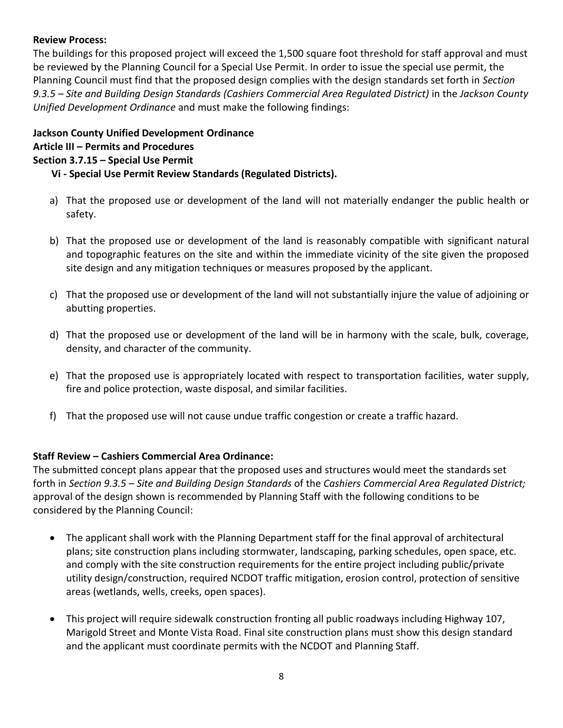### **Review Process:**

The buildings for this proposed project will exceed the 1,500 square foot threshold for staff approval and must be reviewed by the Planning Council for a Special Use Permit. In order to issue the special use permit, the Planning Council must find that the proposed design complies with the design standards set forth in *Section 9.3.5 – Site and Building Design Standards (Cashiers Commercial Area Regulated District)* in the *Jackson County Unified Development Ordinance* and must make the following findings:

## **Jackson County Unified Development Ordinance Article III – Permits and Procedures Section 3.7.15 – Special Use Permit**

#### **Vi - Special Use Permit Review Standards (Regulated Districts).**

- a) That the proposed use or development of the land will not materially endanger the public health or safety.
- b) That the proposed use or development of the land is reasonably compatible with significant natural and topographic features on the site and within the immediate vicinity of the site given the proposed site design and any mitigation techniques or measures proposed by the applicant.
- c) That the proposed use or development of the land will not substantially injure the value of adjoining or abutting properties.
- d) That the proposed use or development of the land will be in harmony with the scale, bulk, coverage, density, and character of the community.
- e) That the proposed use is appropriately located with respect to transportation facilities, water supply, fire and police protection, waste disposal, and similar facilities.
- f) That the proposed use will not cause undue traffic congestion or create a traffic hazard.

### **Staff Review – Cashiers Commercial Area Ordinance:**

The submitted concept plans appear that the proposed uses and structures would meet the standards set forth in *Section 9.3.5 – Site and Building Design Standards* of the *Cashiers Commercial Area Regulated District;* approval of the design shown is recommended by Planning Staff with the following conditions to be considered by the Planning Council:

- The applicant shall work with the Planning Department staff for the final approval of architectural plans; site construction plans including stormwater, landscaping, parking schedules, open space, etc. and comply with the site construction requirements for the entire project including public/private utility design/construction, required NCDOT traffic mitigation, erosion control, protection of sensitive areas (wetlands, wells, creeks, open spaces).
- This project will require sidewalk construction fronting all public roadways including Highway 107, Marigold Street and Monte Vista Road. Final site construction plans must show this design standard and the applicant must coordinate permits with the NCDOT and Planning Staff.